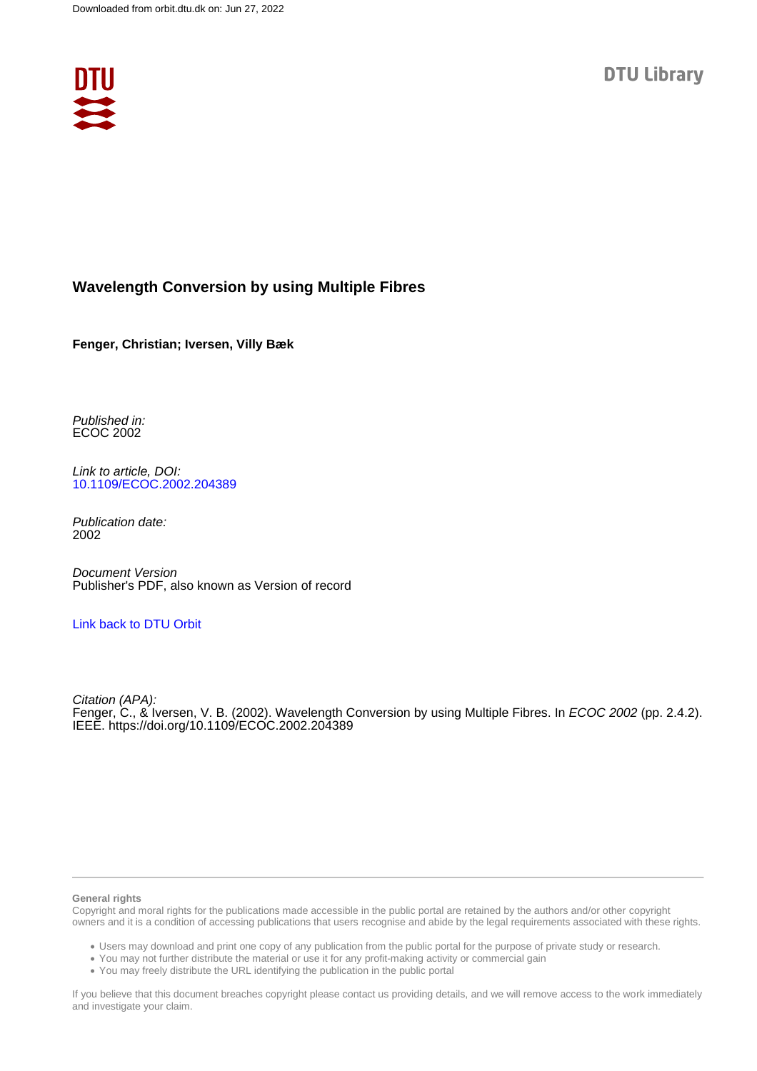

## **Wavelength Conversion by using Multiple Fibres**

**Fenger, Christian; Iversen, Villy Bæk**

Published in: ECOC 2002

Link to article, DOI: [10.1109/ECOC.2002.204389](https://doi.org/10.1109/ECOC.2002.204389)

Publication date: 2002

Document Version Publisher's PDF, also known as Version of record

### [Link back to DTU Orbit](https://orbit.dtu.dk/en/publications/af734833-64a6-4720-9a9a-c676ac76fd12)

Citation (APA): Fenger, C., & Iversen, V. B. (2002). Wavelength Conversion by using Multiple Fibres. In ECOC 2002 (pp. 2.4.2). IEEE.<https://doi.org/10.1109/ECOC.2002.204389>

#### **General rights**

Copyright and moral rights for the publications made accessible in the public portal are retained by the authors and/or other copyright owners and it is a condition of accessing publications that users recognise and abide by the legal requirements associated with these rights.

Users may download and print one copy of any publication from the public portal for the purpose of private study or research.

- You may not further distribute the material or use it for any profit-making activity or commercial gain
- You may freely distribute the URL identifying the publication in the public portal

If you believe that this document breaches copyright please contact us providing details, and we will remove access to the work immediately and investigate your claim.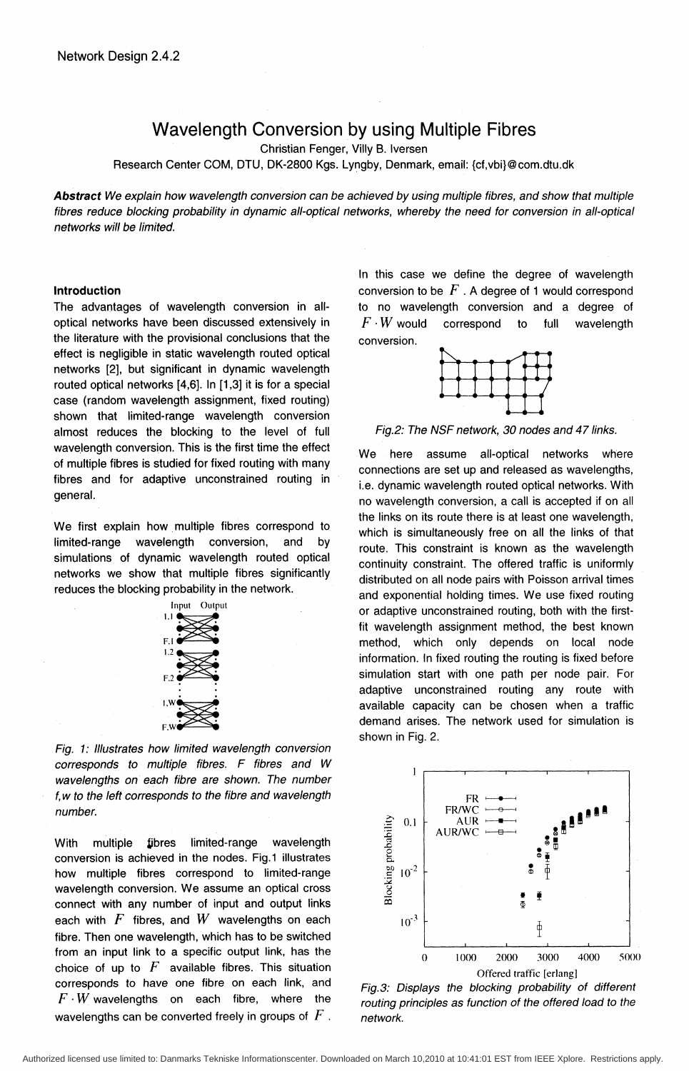# Wavelength Conversion by using Multiple Fibres

Christian Fenger, Villy B. Iversen

Research Center COM, DTU, DK-2800 Kgs. Lyngby, Denmark, email: {cf,vbi}@com.dtu.dk

Abstract We explain how wavelength conversion can be achieved by using multiple fibres, and show that multiple fibres reduce blocking probability in dynamic all-optical networks, whereby the need for conversion in all-optical networks will be limited.

#### Introduction

The advantages of wavelength conversion in alloptical networks have been discussed extensively in the literature with the provisional conclusions that the effect is negligible in static wavelength routed optical networks [2], but significant in dynamic wavelength routed optical networks [4,6]. In [1,3] it is for a special case (random wavelength assignment, fixed routing) shown that limited-range wavelength conversion almost reduces the blocking to the level of full wavelength conversion. This is the first time the effect of multiple fibres is studied for fixed routing with many fibres and for adaptive unconstrained routing in general.

We first explain how multiple fibres correspond to limited-range wavelength conversion, and by simulations of dynamic wavelength routed optical networks we show that multiple fibres significantly reduces the blocking probability in the network.



Fig. 1: Illustrates how limited wavelength conversion corresponds to multiple fibres. F fibres and W wavelengths on each fibre are shown. The number f, w to the left corresponds to the fibre and wavelength number.

With multiple fibres limited-range wavelength conversion is achieved in the nodes. Fig.1 illustrates how multiple fibres correspond to limited-range wavelength conversion. We assume an optical cross connect with any number of input and output links each with  $F$  fibres, and  $W$  wavelengths on each fibre. Then one wavelength, which has to be switched from an input link to a specific output link, has the choice of up to  $F$  available fibres. This situation corresponds to have one fibre on each link, and  $F \cdot W$  wavelengths on each fibre, where the wavelengths can be converted freely in groups of  $F$  .

In this case we define the degree of wavelength conversion to be  $F$  . A degree of 1 would correspond to no wavelength conversion and a degree of  $F \cdot W$  would correspond to full wavelength conversion.



Fig.2: The NSF network, 30 nodes and 47 links.

We here assume all-optical networks where connections are set up and released as wavelengths, i.e. dynamic wavelength routed optical networks. With no wavelength conversion, a call is accepted if on all the links on its route there is at least one wavelength, which is simultaneously free on all the links of that route. This constraint is known as the wavelength continuity constraint. The offered traffic is uniformly distributed on all node pairs with Poisson arrival times and exponential holding times. We use fixed routing or adaptive unconstrained routing, both with the firstfit wavelength assignment method, the best known method, which only depends on local node information. In fixed routing the routing is fixed before simulation start with one path per node pair. For adaptive unconstrained routing any route with available capacity can be chosen when a traffic demand arises. The network used for simulation is shown in Fig. 2.



Fig.3: Displays the blocking probability of different routing principles as function of the offered load to the network.